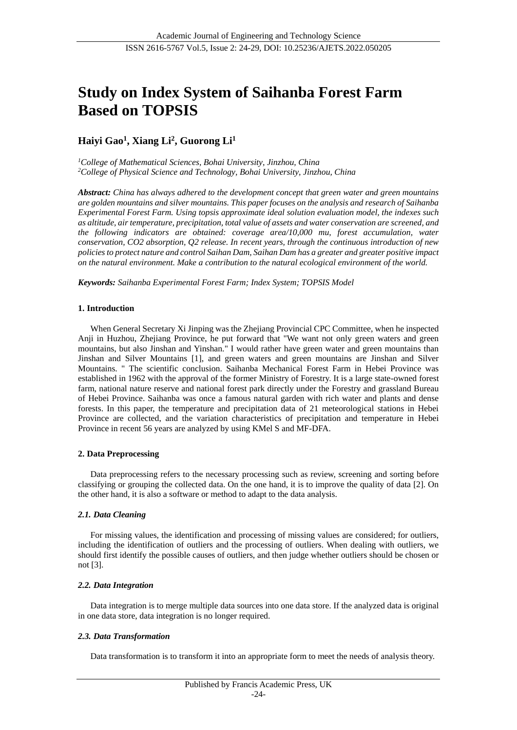# **Study on Index System of Saihanba Forest Farm Based on TOPSIS**

## **Haiyi Gao<sup>1</sup> , Xiang Li<sup>2</sup> , Guorong Li<sup>1</sup>**

*<sup>1</sup>College of Mathematical Sciences, Bohai University, Jinzhou, China <sup>2</sup>College of Physical Science and Technology, Bohai University, Jinzhou, China*

*Abstract: China has always adhered to the development concept that green water and green mountains are golden mountains and silver mountains. This paper focuses on the analysis and research of Saihanba Experimental Forest Farm. Using topsis approximate ideal solution evaluation model, the indexes such as altitude, air temperature, precipitation, total value of assets and water conservation are screened, and the following indicators are obtained: coverage area/10,000 mu, forest accumulation, water conservation, CO2 absorption, Q2 release. In recent years, through the continuous introduction of new policies to protect nature and control Saihan Dam, Saihan Dam has a greater and greater positive impact on the natural environment. Make a contribution to the natural ecological environment of the world.*

*Keywords: Saihanba Experimental Forest Farm; Index System; TOPSIS Model*

## **1. Introduction**

When General Secretary Xi Jinping was the Zhejiang Provincial CPC Committee, when he inspected Anji in Huzhou, Zhejiang Province, he put forward that "We want not only green waters and green mountains, but also Jinshan and Yinshan." I would rather have green water and green mountains than Jinshan and Silver Mountains [1], and green waters and green mountains are Jinshan and Silver Mountains. " The scientific conclusion. Saihanba Mechanical Forest Farm in Hebei Province was established in 1962 with the approval of the former Ministry of Forestry. It is a large state-owned forest farm, national nature reserve and national forest park directly under the Forestry and grassland Bureau of Hebei Province. Saihanba was once a famous natural garden with rich water and plants and dense forests. In this paper, the temperature and precipitation data of 21 meteorological stations in Hebei Province are collected, and the variation characteristics of precipitation and temperature in Hebei Province in recent 56 years are analyzed by using KMel S and MF-DFA.

## **2. Data Preprocessing**

Data preprocessing refers to the necessary processing such as review, screening and sorting before classifying or grouping the collected data. On the one hand, it is to improve the quality of data [2]. On the other hand, it is also a software or method to adapt to the data analysis.

## *2.1. Data Cleaning*

For missing values, the identification and processing of missing values are considered; for outliers, including the identification of outliers and the processing of outliers. When dealing with outliers, we should first identify the possible causes of outliers, and then judge whether outliers should be chosen or not [3].

### *2.2. Data Integration*

Data integration is to merge multiple data sources into one data store. If the analyzed data is original in one data store, data integration is no longer required.

## *2.3. Data Transformation*

Data transformation is to transform it into an appropriate form to meet the needs of analysis theory.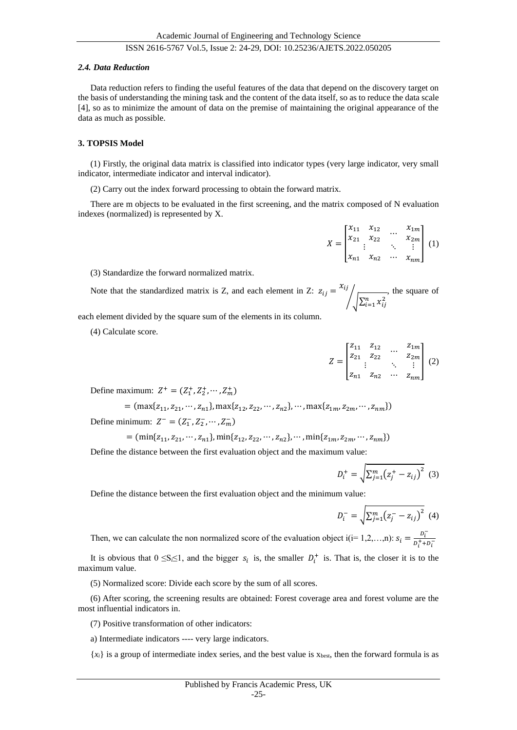#### *2.4. Data Reduction*

Data reduction refers to finding the useful features of the data that depend on the discovery target on the basis of understanding the mining task and the content of the data itself, so as to reduce the data scale [4], so as to minimize the amount of data on the premise of maintaining the original appearance of the data as much as possible.

#### **3. TOPSIS Model**

(1) Firstly, the original data matrix is classified into indicator types (very large indicator, very small indicator, intermediate indicator and interval indicator).

(2) Carry out the index forward processing to obtain the forward matrix.

There are m objects to be evaluated in the first screening, and the matrix composed of N evaluation indexes (normalized) is represented by X.

$$
X = \begin{bmatrix} x_{11} & x_{12} & \dots & x_{1m} \\ x_{21} & x_{22} & \dots & x_{2m} \\ \vdots & \vdots & \ddots & \vdots \\ x_{n1} & x_{n2} & \dots & x_{nm} \end{bmatrix} (1)
$$

(3) Standardize the forward normalized matrix.

Note that the standardized matrix is Z, and each element in Z:  $z_{ij} = x_{ij}$  $\int_{\sqrt{\sum_{i=1}^{n} x_{ij}^2}}$ , the square of

each element divided by the square sum of the elements in its column.

(4) Calculate score.

$$
Z = \begin{bmatrix} z_{11} & z_{12} & \dots & z_{1m} \\ z_{21} & z_{22} & \dots & z_{2m} \\ \vdots & \vdots & \ddots & \vdots \\ z_{n1} & z_{n2} & \dots & z_{nm} \end{bmatrix} (2)
$$

Define maximum:  $Z^+ = (Z_1^+, Z_2^+, \cdots, Z_m^+)$ 

$$
= (\max\{z_{11}, z_{21}, \cdots, z_{n1}\}, \max\{z_{12}, z_{22}, \cdots, z_{n2}\}, \cdots, \max\{z_{1m}, z_{2m}, \cdots, z_{nm}\})
$$
  
Define minimum:  $Z^- = (Z_1^-, Z_2^-, \cdots, Z_m^-)$ 

 $=$   $(\min\{z_{11}, z_{21}, \cdots, z_{n1}\}, \min\{z_{12}, z_{22}, \cdots, z_{n2}\}, \cdots, \min\{z_{1m}, z_{2m}, \cdots, z_{nm}\})$ 

Define the distance between the first evaluation object and the maximum value:

$$
D_i^+ = \sqrt{\sum_{j=1}^m (z_j^+ - z_{ij})^2} \tag{3}
$$

Define the distance between the first evaluation object and the minimum value:

$$
D_i^- = \sqrt{\sum_{j=1}^m (z_j^- - z_{ij})^2}
$$
 (4)

Then, we can calculate the non normalized score of the evaluation object  $i(i=1,2,...,n)$ :  $s_i = \frac{D_i^T}{n^2+i}$  $\overline{D_i^+ + D_i^-}$ 

It is obvious that  $0 \leq S_i \leq 1$ , and the bigger  $s_i$  is, the smaller  $D_i^+$  is. That is, the closer it is to the maximum value.

(5) Normalized score: Divide each score by the sum of all scores.

(6) After scoring, the screening results are obtained: Forest coverage area and forest volume are the most influential indicators in.

(7) Positive transformation of other indicators:

a) Intermediate indicators ---- very large indicators.

 ${x_i}$  is a group of intermediate index series, and the best value is  ${x_{best}}$ , then the forward formula is as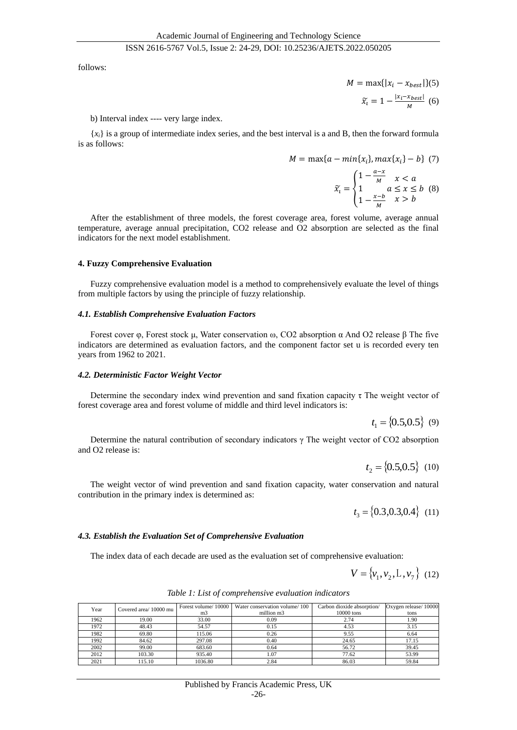follows:

$$
M = \max\{|x_i - x_{best}|\}(5)
$$

$$
\tilde{x}_i = 1 - \frac{|x_i - x_{best}|}{M} \tag{6}
$$

#### b) Interval index ---- very large index.

{*xi*} is a group of intermediate index series, and the best interval is a and B, then the forward formula is as follows:

$$
M = \max\{a - \min\{x_i\}, \max\{x_i\} - b\} \tag{7}
$$

$$
\widetilde{x}_t = \begin{cases} 1 - \frac{a - x}{M} & x < a \\ 1 & a \le x \le b \\ 1 - \frac{x - b}{M} & x > b \end{cases} \quad (8)
$$

After the establishment of three models, the forest coverage area, forest volume, average annual temperature, average annual precipitation, CO2 release and O2 absorption are selected as the final indicators for the next model establishment.

#### **4. Fuzzy Comprehensive Evaluation**

Fuzzy comprehensive evaluation model is a method to comprehensively evaluate the level of things from multiple factors by using the principle of fuzzy relationship.

#### *4.1. Establish Comprehensive Evaluation Factors*

Forest cover φ, Forest stock μ, Water conservation ω, CO2 absorption α And O2 release β The five indicators are determined as evaluation factors, and the component factor set u is recorded every ten years from 1962 to 2021.

#### *4.2. Deterministic Factor Weight Vector*

Determine the secondary index wind prevention and sand fixation capacity  $\tau$  The weight vector of forest coverage area and forest volume of middle and third level indicators is:

$$
t_1 = \{0.5, 0.5\} \quad (9)
$$

Determine the natural contribution of secondary indicators  $\gamma$  The weight vector of CO2 absorption and O2 release is:

$$
t_2 = \{0.5, 0.5\} \quad (10)
$$

The weight vector of wind prevention and sand fixation capacity, water conservation and natural contribution in the primary index is determined as:

$$
t_3 = \{0.3, 0.3, 0.4\} \quad (11)
$$

#### *4.3. Establish the Evaluation Set of Comprehensive Evaluation*

The index data of each decade are used as the evaluation set of comprehensive evaluation:

$$
V = \{v_1, v_2, L, v_7\} \quad (12)
$$

| Year | Covered area/10000 mu |         | Forest volume/10000   Water conservation volume/100 | Carbon dioxide absorption/ | Oxygen release/10000 |
|------|-----------------------|---------|-----------------------------------------------------|----------------------------|----------------------|
|      |                       | m3      | million m3                                          | 10000 tons                 | tons                 |
| 1962 | 19.00                 | 33.00   | 0.09                                                | 2.74                       | 1.90                 |
| 1972 | 48.43                 | 54.57   | 0.15                                                | 4.53                       | 3.15                 |
| 1982 | 69.80                 | 115.06  | 0.26                                                | 9.55                       | 6.64                 |
| 1992 | 84.62                 | 297.08  | 0.40                                                | 24.65                      | 17.15                |
| 2002 | 99.00                 | 683.60  | 0.64                                                | 56.72                      | 39.45                |
| 2012 | 103.30                | 935.40  | 1.07                                                | 77.62                      | 53.99                |
| 2021 | 115.10                | 1036.80 | 2.84                                                | 86.03                      | 59.84                |

*Table 1: List of comprehensive evaluation indicators*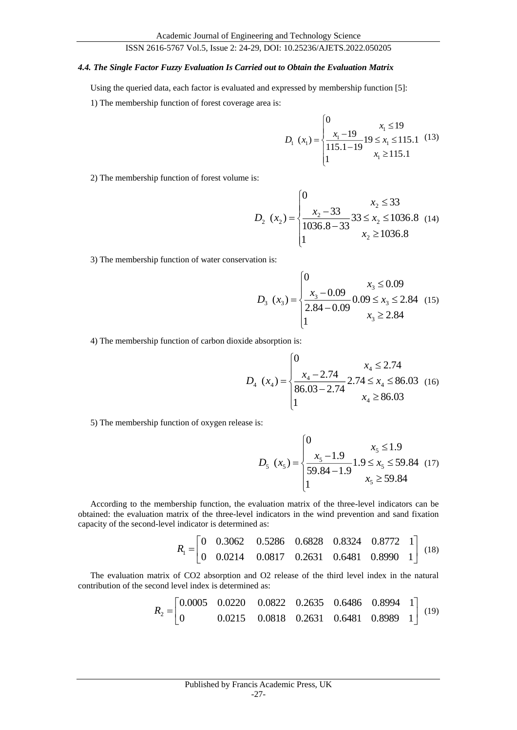#### *4.4. The Single Factor Fuzzy Evaluation Is Carried out to Obtain the Evaluation Matrix*

Using the queried data, each factor is evaluated and expressed by membership function [5]:

1) The membership function of forest coverage area is:

$$
D_{1}(x_{1}) = \begin{cases} 0 & x_{1} \leq 19 \\ \frac{x_{1} - 19}{115.1 - 19} & 19 \leq x_{1} \leq 115.1 \\ 1 & x_{1} \geq 115.1 \end{cases}
$$
 (13)

2) The membership function of forest volume is:

$$
D_2(x_2) = \begin{cases} 0 & x_2 \le 33 \\ \frac{x_2 - 33}{1036.8 - 33} & 33 \le x_2 \le 1036.8 \\ 1 & x_2 \ge 1036.8 \end{cases}
$$
 (14)

3) The membership function of water conservation is:

$$
D_3(x_3) = \begin{cases} 0 & x_3 \le 0.09\\ \frac{x_3 - 0.09}{2.84 - 0.09} & 0.09 \le x_3 \le 2.84\\ 1 & x_3 \ge 2.84 \end{cases}
$$
 (15)

4) The membership function of carbon dioxide absorption is:

$$
D_4(x_4) = \begin{cases} 0 & x_4 \le 2.74 \\ \frac{x_4 - 2.74}{86.03 - 2.74} & 2.74 \le x_4 \le 86.03 \\ 1 & x_4 \ge 86.03 \end{cases}
$$
 (16)

5) The membership function of oxygen release is:

$$
D_{5}(x_{5}) = \begin{cases} 0 & x_{5} \leq 1.9\\ \frac{x_{5} - 1.9}{59.84 - 1.9} & 1.9 \leq x_{5} \leq 59.84\\ 1 & x_{5} \geq 59.84 \end{cases}
$$
 (17)

According to the membership function, the evaluation matrix of the three-level indicators can be obtained: the evaluation matrix of the three-level indicators in the wind prevention and sand fixation capacity of the second-level indicator is determined as:

$$
R_1 = \begin{bmatrix} 0 & 0.3062 & 0.5286 & 0.6828 & 0.8324 & 0.8772 & 1 \\ 0 & 0.0214 & 0.0817 & 0.2631 & 0.6481 & 0.8990 & 1 \end{bmatrix}
$$
 (18)

The evaluation matrix of CO2 absorption and O2 release of the third level index in the natural contribution of the second level index is determined as:

$$
R_2 = \begin{bmatrix} 0.0005 & 0.0220 & 0.0822 & 0.2635 & 0.6486 & 0.8994 & 1 \\ 0 & 0.0215 & 0.0818 & 0.2631 & 0.6481 & 0.8989 & 1 \end{bmatrix}
$$
 (19)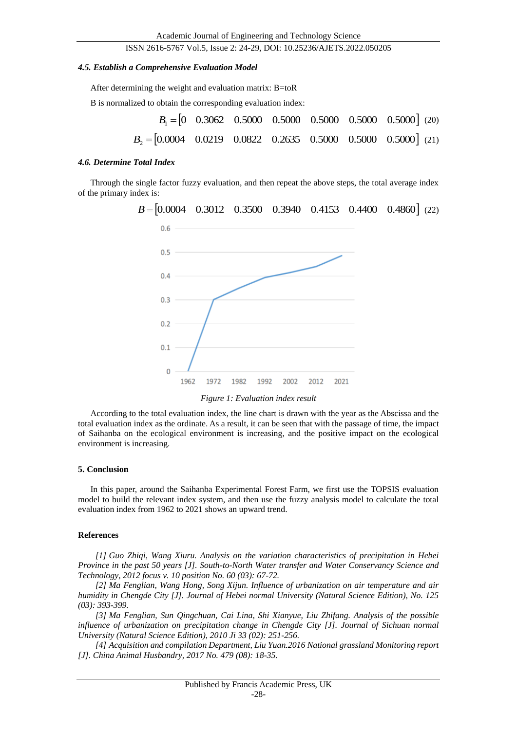#### *4.5. Establish a Comprehensive Evaluation Model*

After determining the weight and evaluation matrix: B=toR

B is normalized to obtain the corresponding evaluation index:

|                                                                                                     |  |  | $B_1 = \begin{bmatrix} 0 & 0.3062 & 0.5000 & 0.5000 & 0.5000 & 0.5000 & 0.5000 \end{bmatrix}$ (20) |
|-----------------------------------------------------------------------------------------------------|--|--|----------------------------------------------------------------------------------------------------|
| $B_2 = [0.0004 \quad 0.0219 \quad 0.0822 \quad 0.2635 \quad 0.5000 \quad 0.5000 \quad 0.5000]$ (21) |  |  |                                                                                                    |

#### *4.6. Determine Total Index*

Through the single factor fuzzy evaluation, and then repeat the above steps, the total average index of the primary index is:



*Figure 1: Evaluation index result*

According to the total evaluation index, the line chart is drawn with the year as the Abscissa and the total evaluation index as the ordinate. As a result, it can be seen that with the passage of time, the impact of Saihanba on the ecological environment is increasing, and the positive impact on the ecological environment is increasing.

#### **5. Conclusion**

In this paper, around the Saihanba Experimental Forest Farm, we first use the TOPSIS evaluation model to build the relevant index system, and then use the fuzzy analysis model to calculate the total evaluation index from 1962 to 2021 shows an upward trend.

#### **References**

*[1] Guo Zhiqi, Wang Xiuru. Analysis on the variation characteristics of precipitation in Hebei Province in the past 50 years [J]. South-to-North Water transfer and Water Conservancy Science and Technology, 2012 focus v. 10 position No. 60 (03): 67-72.*

*[2] Ma Fenglian, Wang Hong, Song Xijun. Influence of urbanization on air temperature and air humidity in Chengde City [J]. Journal of Hebei normal University (Natural Science Edition), No. 125 (03): 393-399.*

*[3] Ma Fenglian, Sun Qingchuan, Cai Lina, Shi Xianyue, Liu Zhifang. Analysis of the possible influence of urbanization on precipitation change in Chengde City [J]. Journal of Sichuan normal University (Natural Science Edition), 2010 Ji 33 (02): 251-256.*

*[4] Acquisition and compilation Department, Liu Yuan.2016 National grassland Monitoring report [J]. China Animal Husbandry, 2017 No. 479 (08): 18-35.*